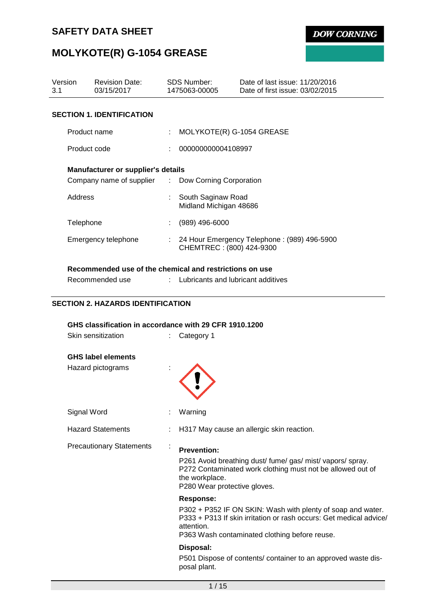**DOW CORNING** 

# **MOLYKOTE(R) G-1054 GREASE**

| Version<br>3.1 | <b>Revision Date:</b><br>03/15/2017                                        | <b>SDS Number:</b><br>1475063-00005                      | Date of last issue: 11/20/2016<br>Date of first issue: 03/02/2015                                                                                   |
|----------------|----------------------------------------------------------------------------|----------------------------------------------------------|-----------------------------------------------------------------------------------------------------------------------------------------------------|
|                | <b>SECTION 1. IDENTIFICATION</b>                                           |                                                          |                                                                                                                                                     |
|                | Product name                                                               |                                                          | MOLYKOTE(R) G-1054 GREASE                                                                                                                           |
|                | Product code                                                               | 000000000004108997                                       |                                                                                                                                                     |
|                | Manufacturer or supplier's details                                         |                                                          |                                                                                                                                                     |
|                | Company name of supplier : Dow Corning Corporation                         |                                                          |                                                                                                                                                     |
| Address        |                                                                            | South Saginaw Road<br>Midland Michigan 48686             |                                                                                                                                                     |
|                | Telephone                                                                  | $(989)$ 496-6000                                         |                                                                                                                                                     |
|                | Emergency telephone                                                        |                                                          | : 24 Hour Emergency Telephone : (989) 496-5900<br>CHEMTREC: (800) 424-9300                                                                          |
|                | Recommended use of the chemical and restrictions on use<br>Recommended use |                                                          | Lubricants and lubricant additives                                                                                                                  |
|                | <b>SECTION 2. HAZARDS IDENTIFICATION</b>                                   |                                                          |                                                                                                                                                     |
|                | GHS classification in accordance with 29 CFR 1910.1200                     |                                                          |                                                                                                                                                     |
|                | Skin sensitization                                                         | Category 1                                               |                                                                                                                                                     |
|                | <b>GHS label elements</b><br>Hazard pictograms                             |                                                          |                                                                                                                                                     |
|                | Signal Word                                                                | Warning                                                  |                                                                                                                                                     |
|                | <b>Hazard Statements</b>                                                   |                                                          | H317 May cause an allergic skin reaction.                                                                                                           |
|                | <b>Precautionary Statements</b>                                            | <b>Prevention:</b><br>the workplace.<br><b>Response:</b> | P261 Avoid breathing dust/fume/gas/mist/vapors/spray.<br>P272 Contaminated work clothing must not be allowed out of<br>P280 Wear protective gloves. |
|                |                                                                            |                                                          | P302 + P352 IF ON SKIN: Wash with plenty of soap and water.<br>D222 + D242 If alsin insitation or rock coours: Cot modical advise                   |

P333 + P313 If skin irritation or rash occurs: Get medical advice/ attention.

P363 Wash contaminated clothing before reuse.

### **Disposal:**

P501 Dispose of contents/ container to an approved waste disposal plant.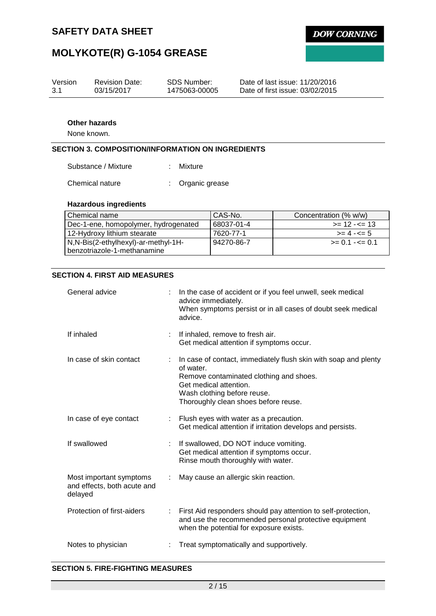**DOW CORNING** 

# **MOLYKOTE(R) G-1054 GREASE**

| Version | <b>Revision Date:</b> | SDS Number:   | Date of last issue: 11/20/2016  |
|---------|-----------------------|---------------|---------------------------------|
| 3.1     | 03/15/2017            | 1475063-00005 | Date of first issue: 03/02/2015 |

### **Other hazards**

None known.

## **SECTION 3. COMPOSITION/INFORMATION ON INGREDIENTS**

| Substance / Mixture | Mixture |
|---------------------|---------|
|---------------------|---------|

Chemical nature : Organic grease

### **Hazardous ingredients**

| l Chemical name                      | CAS-No.    | Concentration (% w/w) |
|--------------------------------------|------------|-----------------------|
| Dec-1-ene, homopolymer, hydrogenated | 68037-01-4 | $\ge$ 12 - $\le$ 13   |
| 12-Hydroxy lithium stearate          | 7620-77-1  | $>= 4 - 5$            |
| N,N-Bis(2-ethylhexyl)-ar-methyl-1H-  | 94270-86-7 | $>= 0.1 - \le 0.1$    |
| benzotriazole-1-methanamine          |            |                       |

## **SECTION 4. FIRST AID MEASURES**

| General advice                                                    | In the case of accident or if you feel unwell, seek medical<br>advice immediately.<br>When symptoms persist or in all cases of doubt seek medical<br>advice.                                                             |
|-------------------------------------------------------------------|--------------------------------------------------------------------------------------------------------------------------------------------------------------------------------------------------------------------------|
| If inhaled                                                        | If inhaled, remove to fresh air.<br>Get medical attention if symptoms occur.                                                                                                                                             |
| In case of skin contact                                           | In case of contact, immediately flush skin with soap and plenty<br>of water.<br>Remove contaminated clothing and shoes.<br>Get medical attention.<br>Wash clothing before reuse.<br>Thoroughly clean shoes before reuse. |
| In case of eye contact                                            | Flush eyes with water as a precaution.<br>Get medical attention if irritation develops and persists.                                                                                                                     |
| If swallowed                                                      | If swallowed, DO NOT induce vomiting.<br>Get medical attention if symptoms occur.<br>Rinse mouth thoroughly with water.                                                                                                  |
| Most important symptoms<br>and effects, both acute and<br>delayed | May cause an allergic skin reaction.                                                                                                                                                                                     |
| Protection of first-aiders                                        | First Aid responders should pay attention to self-protection,<br>and use the recommended personal protective equipment<br>when the potential for exposure exists.                                                        |
| Notes to physician                                                | Treat symptomatically and supportively.                                                                                                                                                                                  |

### **SECTION 5. FIRE-FIGHTING MEASURES**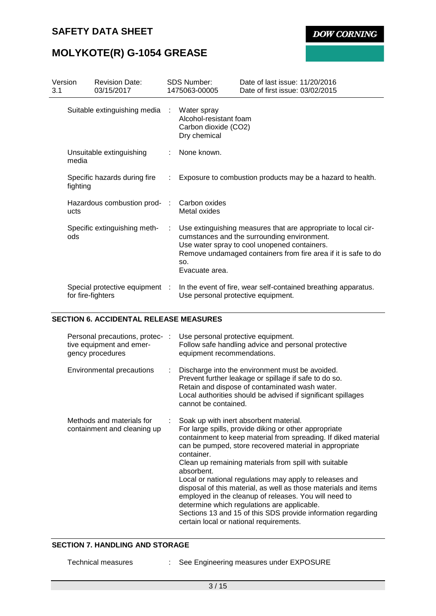**DOW CORNING** 

# **MOLYKOTE(R) G-1054 GREASE**

| Version<br>3.1                 |                                          | <b>Revision Date:</b><br>03/15/2017                 |                                                                               | <b>SDS Number:</b><br>1475063-00005 | Date of last issue: 11/20/2016<br>Date of first issue: 03/02/2015                                                                                                                                                              |
|--------------------------------|------------------------------------------|-----------------------------------------------------|-------------------------------------------------------------------------------|-------------------------------------|--------------------------------------------------------------------------------------------------------------------------------------------------------------------------------------------------------------------------------|
| Suitable extinguishing media : |                                          |                                                     | Water spray<br>Alcohol-resistant foam<br>Carbon dioxide (CO2)<br>Dry chemical |                                     |                                                                                                                                                                                                                                |
|                                | Unsuitable extinguishing<br>media        |                                                     |                                                                               | None known.                         |                                                                                                                                                                                                                                |
|                                | Specific hazards during fire<br>fighting |                                                     |                                                                               |                                     | Exposure to combustion products may be a hazard to health.                                                                                                                                                                     |
|                                | Hazardous combustion prod-<br>ucts       |                                                     | ÷                                                                             | Carbon oxides<br>Metal oxides       |                                                                                                                                                                                                                                |
|                                | ods                                      | Specific extinguishing meth-                        | ÷                                                                             | SO.<br>Evacuate area.               | Use extinguishing measures that are appropriate to local cir-<br>cumstances and the surrounding environment.<br>Use water spray to cool unopened containers.<br>Remove undamaged containers from fire area if it is safe to do |
|                                |                                          | Special protective equipment :<br>for fire-fighters |                                                                               |                                     | In the event of fire, wear self-contained breathing apparatus.<br>Use personal protective equipment.                                                                                                                           |

### **SECTION 6. ACCIDENTAL RELEASE MEASURES**

| Personal precautions, protec-:<br>tive equipment and emer-<br>gency procedures |    | Use personal protective equipment.<br>Follow safe handling advice and personal protective<br>equipment recommendations.                                                                                                                                                                                                                                                                                                                                                                                                                                                                                                                                             |
|--------------------------------------------------------------------------------|----|---------------------------------------------------------------------------------------------------------------------------------------------------------------------------------------------------------------------------------------------------------------------------------------------------------------------------------------------------------------------------------------------------------------------------------------------------------------------------------------------------------------------------------------------------------------------------------------------------------------------------------------------------------------------|
| Environmental precautions                                                      | ÷. | Discharge into the environment must be avoided.<br>Prevent further leakage or spillage if safe to do so.<br>Retain and dispose of contaminated wash water.<br>Local authorities should be advised if significant spillages<br>cannot be contained.                                                                                                                                                                                                                                                                                                                                                                                                                  |
| Methods and materials for<br>containment and cleaning up                       |    | : Soak up with inert absorbent material.<br>For large spills, provide diking or other appropriate<br>containment to keep material from spreading. If diked material<br>can be pumped, store recovered material in appropriate<br>container.<br>Clean up remaining materials from spill with suitable<br>absorbent.<br>Local or national regulations may apply to releases and<br>disposal of this material, as well as those materials and items<br>employed in the cleanup of releases. You will need to<br>determine which regulations are applicable.<br>Sections 13 and 15 of this SDS provide information regarding<br>certain local or national requirements. |

### **SECTION 7. HANDLING AND STORAGE**

- 
- Technical measures : See Engineering measures under EXPOSURE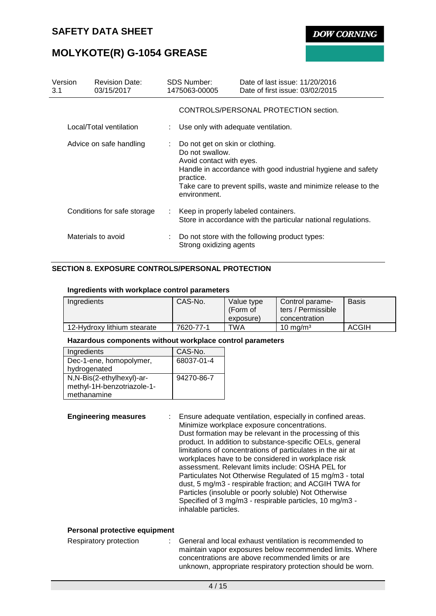**DOW CORNING** 

# **MOLYKOTE(R) G-1054 GREASE**

| Version<br>3.1          |  | <b>Revision Date:</b><br>03/15/2017 | <b>SDS Number:</b><br>1475063-00005                                                                                                                                                                                                           |                                      | Date of last issue: 11/20/2016<br>Date of first issue: 03/02/2015 |  |  |  |
|-------------------------|--|-------------------------------------|-----------------------------------------------------------------------------------------------------------------------------------------------------------------------------------------------------------------------------------------------|--------------------------------------|-------------------------------------------------------------------|--|--|--|
|                         |  |                                     |                                                                                                                                                                                                                                               |                                      | CONTROLS/PERSONAL PROTECTION section.                             |  |  |  |
|                         |  | Local/Total ventilation             |                                                                                                                                                                                                                                               | Use only with adequate ventilation.  |                                                                   |  |  |  |
| Advice on safe handling |  |                                     | Do not get on skin or clothing.<br>Do not swallow.<br>Avoid contact with eyes.<br>Handle in accordance with good industrial hygiene and safety<br>practice.<br>Take care to prevent spills, waste and minimize release to the<br>environment. |                                      |                                                                   |  |  |  |
|                         |  | Conditions for safe storage         | ÷.                                                                                                                                                                                                                                            | Keep in properly labeled containers. | Store in accordance with the particular national regulations.     |  |  |  |
|                         |  | Materials to avoid                  |                                                                                                                                                                                                                                               | Strong oxidizing agents              | : Do not store with the following product types:                  |  |  |  |

## **SECTION 8. EXPOSURE CONTROLS/PERSONAL PROTECTION**

#### **Ingredients with workplace control parameters**

| Ingredients                 | CAS-No.   | Value type<br>(Form of<br>exposure) | Control parame-<br>ters / Permissible<br>concentration | <b>Basis</b> |
|-----------------------------|-----------|-------------------------------------|--------------------------------------------------------|--------------|
| 12-Hydroxy lithium stearate | 7620-77-1 | TWA                                 | $10 \text{ mg/m}^3$                                    | ACGIH        |

#### **Hazardous components without workplace control parameters**

| Ingredients                | CAS-No.    |
|----------------------------|------------|
| Dec-1-ene, homopolymer,    | 68037-01-4 |
| hydrogenated               |            |
| N,N-Bis(2-ethylhexyl)-ar-  | 94270-86-7 |
| methyl-1H-benzotriazole-1- |            |
| methanamine                |            |

**Engineering measures** : Ensure adequate ventilation, especially in confined areas. Minimize workplace exposure concentrations. Dust formation may be relevant in the processing of this product. In addition to substance-specific OELs, general limitations of concentrations of particulates in the air at workplaces have to be considered in workplace risk assessment. Relevant limits include: OSHA PEL for Particulates Not Otherwise Regulated of 15 mg/m3 - total dust, 5 mg/m3 - respirable fraction; and ACGIH TWA for Particles (insoluble or poorly soluble) Not Otherwise Specified of 3 mg/m3 - respirable particles, 10 mg/m3 inhalable particles.

### **Personal protective equipment**

| Respiratory protection |  | General and local exhaust ventilation is recommended to     |
|------------------------|--|-------------------------------------------------------------|
|                        |  | maintain vapor exposures below recommended limits. Where    |
|                        |  | concentrations are above recommended limits or are          |
|                        |  | unknown, appropriate respiratory protection should be worn. |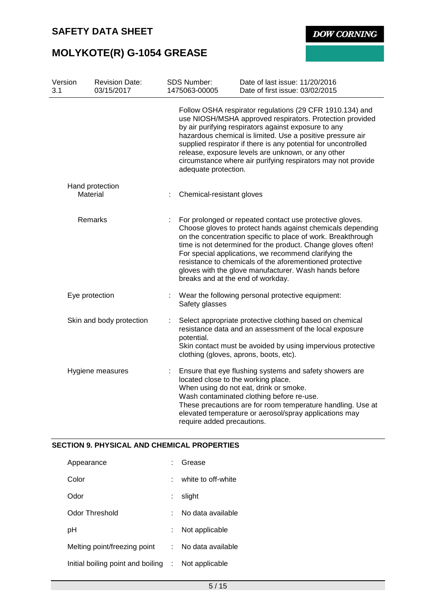

**DOW CORNING** 

# **MOLYKOTE(R) G-1054 GREASE**

| Version<br>3.1           | <b>Revision Date:</b><br>03/15/2017 |            | <b>SDS Number:</b><br>1475063-00005                                                                                                                                                                                          | Date of last issue: 11/20/2016<br>Date of first issue: 03/02/2015                                                                                                                                                                                                                                                                                                                                                                                                         |  |  |
|--------------------------|-------------------------------------|------------|------------------------------------------------------------------------------------------------------------------------------------------------------------------------------------------------------------------------------|---------------------------------------------------------------------------------------------------------------------------------------------------------------------------------------------------------------------------------------------------------------------------------------------------------------------------------------------------------------------------------------------------------------------------------------------------------------------------|--|--|
|                          |                                     |            | adequate protection.                                                                                                                                                                                                         | Follow OSHA respirator regulations (29 CFR 1910.134) and<br>use NIOSH/MSHA approved respirators. Protection provided<br>by air purifying respirators against exposure to any<br>hazardous chemical is limited. Use a positive pressure air<br>supplied respirator if there is any potential for uncontrolled<br>release, exposure levels are unknown, or any other<br>circumstance where air purifying respirators may not provide                                        |  |  |
|                          | Hand protection<br>Material         |            | Chemical-resistant gloves                                                                                                                                                                                                    |                                                                                                                                                                                                                                                                                                                                                                                                                                                                           |  |  |
| Remarks                  |                                     |            |                                                                                                                                                                                                                              | For prolonged or repeated contact use protective gloves.<br>Choose gloves to protect hands against chemicals depending<br>on the concentration specific to place of work. Breakthrough<br>time is not determined for the product. Change gloves often!<br>For special applications, we recommend clarifying the<br>resistance to chemicals of the aforementioned protective<br>gloves with the glove manufacturer. Wash hands before<br>breaks and at the end of workday. |  |  |
|                          | Eye protection                      | ÷          | Safety glasses                                                                                                                                                                                                               | Wear the following personal protective equipment:                                                                                                                                                                                                                                                                                                                                                                                                                         |  |  |
| Skin and body protection |                                     | potential. | Select appropriate protective clothing based on chemical<br>resistance data and an assessment of the local exposure<br>Skin contact must be avoided by using impervious protective<br>clothing (gloves, aprons, boots, etc). |                                                                                                                                                                                                                                                                                                                                                                                                                                                                           |  |  |
| Hygiene measures         |                                     | ÷          | located close to the working place.<br>require added precautions.                                                                                                                                                            | Ensure that eye flushing systems and safety showers are<br>When using do not eat, drink or smoke.<br>Wash contaminated clothing before re-use.<br>These precautions are for room temperature handling. Use at<br>elevated temperature or aerosol/spray applications may                                                                                                                                                                                                   |  |  |

## **SECTION 9. PHYSICAL AND CHEMICAL PROPERTIES**

| Appearance                          |    | Grease             |
|-------------------------------------|----|--------------------|
| Color                               |    | white to off-white |
| Odor                                |    | slight             |
| Odor Threshold                      |    | No data available  |
| рH                                  |    | Not applicable     |
| Melting point/freezing point        | t. | No data available  |
| Initial boiling point and boiling : |    | Not applicable     |
|                                     |    |                    |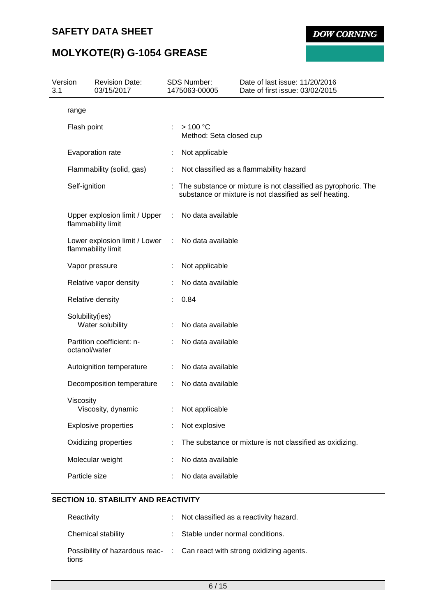**DOW CORNING** 

# **MOLYKOTE(R) G-1054 GREASE**

| Version<br>3.1 |                 | <b>Revision Date:</b><br>03/15/2017                 |    | <b>SDS Number:</b><br>1475063-00005 | Date of last issue: 11/20/2016<br>Date of first issue: 03/02/2015                                                        |
|----------------|-----------------|-----------------------------------------------------|----|-------------------------------------|--------------------------------------------------------------------------------------------------------------------------|
|                | range           |                                                     |    |                                     |                                                                                                                          |
|                | Flash point     |                                                     | ÷. | >100 °C<br>Method: Seta closed cup  |                                                                                                                          |
|                |                 | Evaporation rate                                    |    | Not applicable                      |                                                                                                                          |
|                |                 | Flammability (solid, gas)                           |    |                                     | Not classified as a flammability hazard                                                                                  |
|                | Self-ignition   |                                                     |    |                                     | The substance or mixture is not classified as pyrophoric. The<br>substance or mixture is not classified as self heating. |
|                |                 | Upper explosion limit / Upper<br>flammability limit |    | No data available                   |                                                                                                                          |
|                |                 | Lower explosion limit / Lower<br>flammability limit |    | No data available                   |                                                                                                                          |
|                |                 | Vapor pressure                                      |    | Not applicable                      |                                                                                                                          |
|                |                 | Relative vapor density                              |    | No data available                   |                                                                                                                          |
|                |                 | Relative density                                    |    | 0.84                                |                                                                                                                          |
|                | Solubility(ies) | Water solubility                                    |    | No data available                   |                                                                                                                          |
|                | octanol/water   | Partition coefficient: n-                           |    | No data available                   |                                                                                                                          |
|                |                 | Autoignition temperature                            |    | No data available                   |                                                                                                                          |
|                |                 | Decomposition temperature                           | ÷  | No data available                   |                                                                                                                          |
|                | Viscosity       | Viscosity, dynamic                                  |    | Not applicable                      |                                                                                                                          |
|                |                 | <b>Explosive properties</b>                         |    | Not explosive                       |                                                                                                                          |
|                |                 | Oxidizing properties                                |    |                                     | The substance or mixture is not classified as oxidizing.                                                                 |
|                |                 | Molecular weight                                    |    | No data available                   |                                                                                                                          |
|                | Particle size   |                                                     |    | No data available                   |                                                                                                                          |

## **SECTION 10. STABILITY AND REACTIVITY**

| Reactivity         | : Not classified as a reactivity hazard.                                 |
|--------------------|--------------------------------------------------------------------------|
| Chemical stability | : Stable under normal conditions.                                        |
| tions              | Possibility of hazardous reac- : Can react with strong oxidizing agents. |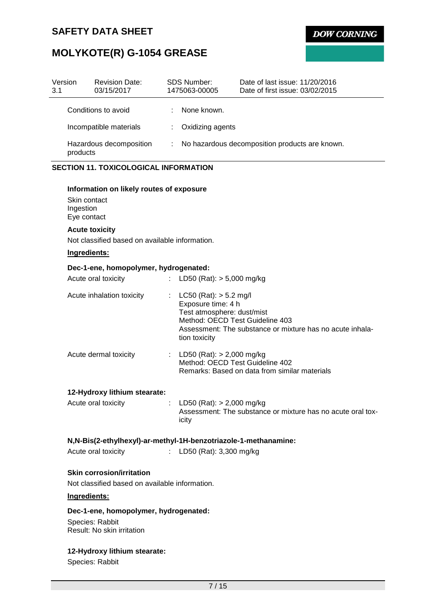**DOW CORNING** 

# **MOLYKOTE(R) G-1054 GREASE**

| Version<br>3.1                      | <b>Revision Date:</b><br>03/15/2017 | <b>SDS Number:</b><br>1475063-00005 | Date of last issue: 11/20/2016<br>Date of first issue: 03/02/2015 |
|-------------------------------------|-------------------------------------|-------------------------------------|-------------------------------------------------------------------|
|                                     | Conditions to avoid                 | None known.                         |                                                                   |
| Incompatible materials              |                                     | Oxidizing agents<br>÷.              |                                                                   |
| Hazardous decomposition<br>products |                                     |                                     | : No hazardous decomposition products are known.                  |

## **SECTION 11. TOXICOLOGICAL INFORMATION**

#### **Information on likely routes of exposure**

Skin contact Ingestion Eye contact

## **Acute toxicity**

Not classified based on available information.

## **Ingredients:**

### **Dec-1-ene, homopolymer, hydrogenated:**

| Acute oral toxicity       | : LD50 (Rat): $>$ 5,000 mg/kg                                                                                                                                                                 |
|---------------------------|-----------------------------------------------------------------------------------------------------------------------------------------------------------------------------------------------|
| Acute inhalation toxicity | LC50 (Rat): $>$ 5.2 mg/l<br>Exposure time: 4 h<br>Test atmosphere: dust/mist<br>Method: OECD Test Guideline 403<br>Assessment: The substance or mixture has no acute inhala-<br>tion toxicity |
| Acute dermal toxicity     | : LD50 (Rat): $> 2,000$ mg/kg<br>Method: OECD Test Guideline 402<br>Remarks: Based on data from similar materials                                                                             |

#### **12-Hydroxy lithium stearate:**

| Acute oral toxicity | : LD50 (Rat): $> 2,000$ mg/kg                               |
|---------------------|-------------------------------------------------------------|
|                     | Assessment: The substance or mixture has no acute oral tox- |
|                     | icity                                                       |

### **N,N-Bis(2-ethylhexyl)-ar-methyl-1H-benzotriazole-1-methanamine:**

| Acute oral toxicity | LD50 (Rat): 3,300 mg/kg |  |
|---------------------|-------------------------|--|
|                     |                         |  |

### **Skin corrosion/irritation**

Not classified based on available information.

## **Ingredients:**

### **Dec-1-ene, homopolymer, hydrogenated:**

Species: Rabbit Result: No skin irritation

# **12-Hydroxy lithium stearate:**

Species: Rabbit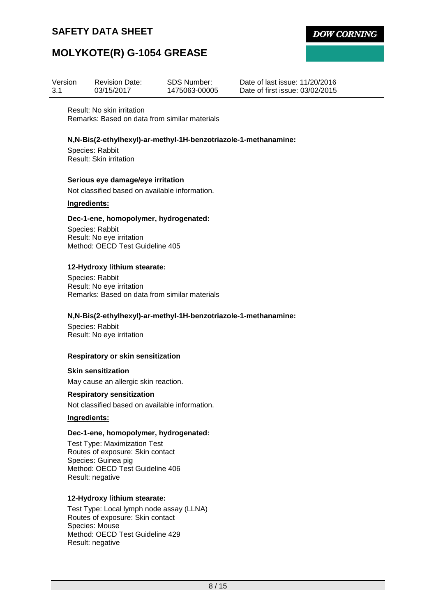**DOW CORNING** 

# **MOLYKOTE(R) G-1054 GREASE**

| Version | <b>Revision Date:</b> | SDS Number:   |
|---------|-----------------------|---------------|
| -3.1    | 03/15/2017            | 1475063-00005 |

Date of last issue: 11/20/2016 Date of first issue: 03/02/2015

Result: No skin irritation Remarks: Based on data from similar materials

### **N,N-Bis(2-ethylhexyl)-ar-methyl-1H-benzotriazole-1-methanamine:**

Species: Rabbit Result: Skin irritation

### **Serious eye damage/eye irritation**

Not classified based on available information.

### **Ingredients:**

### **Dec-1-ene, homopolymer, hydrogenated:**

Species: Rabbit Result: No eye irritation Method: OECD Test Guideline 405

### **12-Hydroxy lithium stearate:**

Species: Rabbit Result: No eye irritation Remarks: Based on data from similar materials

#### **N,N-Bis(2-ethylhexyl)-ar-methyl-1H-benzotriazole-1-methanamine:**

Species: Rabbit Result: No eye irritation

#### **Respiratory or skin sensitization**

**Skin sensitization** May cause an allergic skin reaction.

#### **Respiratory sensitization**

Not classified based on available information.

### **Ingredients:**

#### **Dec-1-ene, homopolymer, hydrogenated:**

Test Type: Maximization Test Routes of exposure: Skin contact Species: Guinea pig Method: OECD Test Guideline 406 Result: negative

#### **12-Hydroxy lithium stearate:**

Test Type: Local lymph node assay (LLNA) Routes of exposure: Skin contact Species: Mouse Method: OECD Test Guideline 429 Result: negative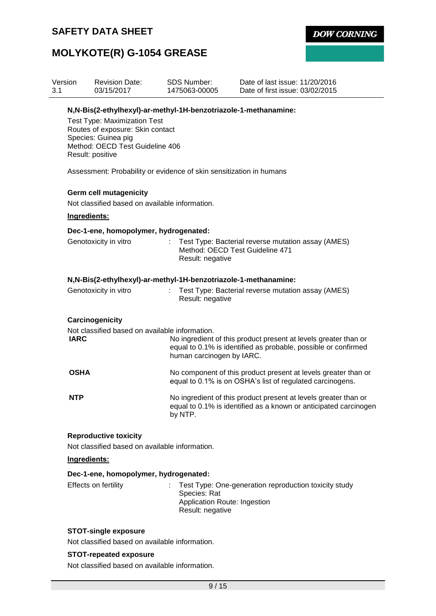**DOW CORNING** 

# **MOLYKOTE(R) G-1054 GREASE**

| Version<br>3.1       | <b>SDS Number:</b><br><b>Revision Date:</b><br>03/15/2017<br>1475063-00005                                                                            |                                                                  | Date of last issue: 11/20/2016<br>Date of first issue: 03/02/2015                                                                   |  |  |  |
|----------------------|-------------------------------------------------------------------------------------------------------------------------------------------------------|------------------------------------------------------------------|-------------------------------------------------------------------------------------------------------------------------------------|--|--|--|
|                      | N, N-Bis(2-ethylhexyl)-ar-methyl-1H-benzotriazole-1-methanamine:                                                                                      |                                                                  |                                                                                                                                     |  |  |  |
|                      | <b>Test Type: Maximization Test</b><br>Routes of exposure: Skin contact<br>Species: Guinea pig<br>Method: OECD Test Guideline 406<br>Result: positive |                                                                  |                                                                                                                                     |  |  |  |
|                      | Assessment: Probability or evidence of skin sensitization in humans                                                                                   |                                                                  |                                                                                                                                     |  |  |  |
|                      | <b>Germ cell mutagenicity</b>                                                                                                                         |                                                                  |                                                                                                                                     |  |  |  |
|                      | Not classified based on available information.                                                                                                        |                                                                  |                                                                                                                                     |  |  |  |
|                      | Ingredients:                                                                                                                                          |                                                                  |                                                                                                                                     |  |  |  |
|                      | Dec-1-ene, homopolymer, hydrogenated:                                                                                                                 |                                                                  |                                                                                                                                     |  |  |  |
|                      | Genotoxicity in vitro                                                                                                                                 |                                                                  | Test Type: Bacterial reverse mutation assay (AMES)<br>Method: OECD Test Guideline 471<br>Result: negative                           |  |  |  |
|                      | N,N-Bis(2-ethylhexyl)-ar-methyl-1H-benzotriazole-1-methanamine:                                                                                       |                                                                  |                                                                                                                                     |  |  |  |
|                      | Genotoxicity in vitro                                                                                                                                 |                                                                  | Test Type: Bacterial reverse mutation assay (AMES)<br>Result: negative                                                              |  |  |  |
|                      | Carcinogenicity                                                                                                                                       |                                                                  |                                                                                                                                     |  |  |  |
| <b>IARC</b>          | Not classified based on available information.                                                                                                        | human carcinogen by IARC.                                        | No ingredient of this product present at levels greater than or<br>equal to 0.1% is identified as probable, possible or confirmed   |  |  |  |
| <b>OSHA</b>          |                                                                                                                                                       |                                                                  | No component of this product present at levels greater than or<br>equal to 0.1% is on OSHA's list of regulated carcinogens.         |  |  |  |
| <b>NTP</b>           |                                                                                                                                                       | by NTP.                                                          | No ingredient of this product present at levels greater than or<br>equal to 0.1% is identified as a known or anticipated carcinogen |  |  |  |
|                      | <b>Reproductive toxicity</b><br>Not classified based on available information.                                                                        |                                                                  |                                                                                                                                     |  |  |  |
|                      | Ingredients:                                                                                                                                          |                                                                  |                                                                                                                                     |  |  |  |
|                      | Dec-1-ene, homopolymer, hydrogenated:                                                                                                                 |                                                                  |                                                                                                                                     |  |  |  |
| Effects on fertility |                                                                                                                                                       | Species: Rat<br>Application Route: Ingestion<br>Result: negative | Test Type: One-generation reproduction toxicity study                                                                               |  |  |  |

## **STOT-single exposure**

Not classified based on available information.

## **STOT-repeated exposure**

Not classified based on available information.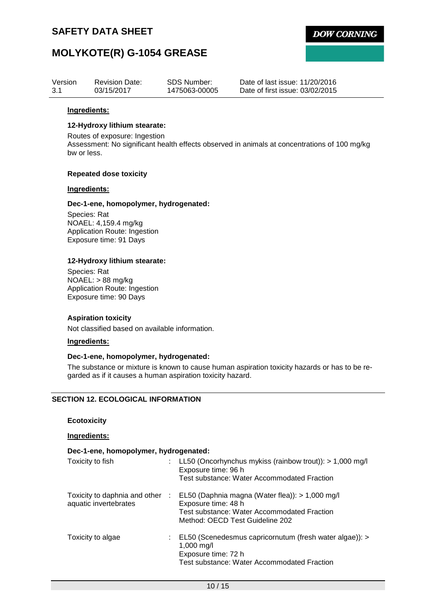

# **MOLYKOTE(R) G-1054 GREASE**

| Version | <b>Revision Date:</b> | SDS Number:   | Date of last issue: 11/20/2016  |
|---------|-----------------------|---------------|---------------------------------|
| 3.1     | 03/15/2017            | 1475063-00005 | Date of first issue: 03/02/2015 |

#### **Ingredients:**

#### **12-Hydroxy lithium stearate:**

Routes of exposure: Ingestion

Assessment: No significant health effects observed in animals at concentrations of 100 mg/kg bw or less.

#### **Repeated dose toxicity**

### **Ingredients:**

### **Dec-1-ene, homopolymer, hydrogenated:**

Species: Rat NOAEL: 4,159.4 mg/kg Application Route: Ingestion Exposure time: 91 Days

### **12-Hydroxy lithium stearate:**

Species: Rat NOAEL: > 88 mg/kg Application Route: Ingestion Exposure time: 90 Days

#### **Aspiration toxicity**

Not classified based on available information.

### **Ingredients:**

#### **Dec-1-ene, homopolymer, hydrogenated:**

The substance or mixture is known to cause human aspiration toxicity hazards or has to be regarded as if it causes a human aspiration toxicity hazard.

### **SECTION 12. ECOLOGICAL INFORMATION**

#### **Ecotoxicity**

### **Ingredients:**

### **Dec-1-ene, homopolymer, hydrogenated:**

| Toxicity to fish      | : LL50 (Oncorhynchus mykiss (rainbow trout)): > 1,000 mg/l<br>Exposure time: 96 h<br>Test substance: Water Accommodated Fraction                                                         |
|-----------------------|------------------------------------------------------------------------------------------------------------------------------------------------------------------------------------------|
| aquatic invertebrates | Toxicity to daphnia and other : EL50 (Daphnia magna (Water flea)): > 1,000 mg/l<br>Exposure time: 48 h<br>Test substance: Water Accommodated Fraction<br>Method: OECD Test Guideline 202 |
| Toxicity to algae     | : EL50 (Scenedesmus capricornutum (fresh water algae)): ><br>1,000 mg/l<br>Exposure time: 72 h<br>Test substance: Water Accommodated Fraction                                            |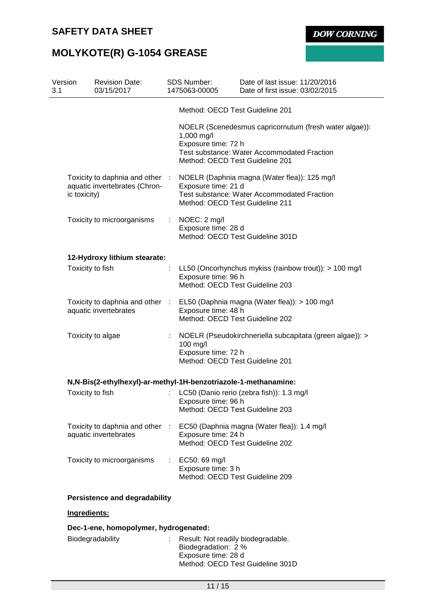**DOW CORNING** 

# **MOLYKOTE(R) G-1054 GREASE**

| Version<br>3.1 |              | <b>Revision Date:</b><br>03/15/2017                              |                       | <b>SDS Number:</b><br>1475063-00005                                    | Date of last issue: 11/20/2016<br>Date of first issue: 03/02/2015                                     |
|----------------|--------------|------------------------------------------------------------------|-----------------------|------------------------------------------------------------------------|-------------------------------------------------------------------------------------------------------|
|                |              |                                                                  |                       | Method: OECD Test Guideline 201                                        |                                                                                                       |
|                |              |                                                                  |                       | 1,000 mg/l<br>Exposure time: 72 h<br>Method: OECD Test Guideline 201   | NOELR (Scenedesmus capricornutum (fresh water algae)):<br>Test substance: Water Accommodated Fraction |
|                | ic toxicity) | Toxicity to daphnia and other :<br>aquatic invertebrates (Chron- |                       | Exposure time: 21 d<br>Method: OECD Test Guideline 211                 | NOELR (Daphnia magna (Water flea)): 125 mg/l<br>Test substance: Water Accommodated Fraction           |
|                |              | Toxicity to microorganisms                                       | ÷                     | NOEC: 2 mg/l<br>Exposure time: 28 d                                    | Method: OECD Test Guideline 301D                                                                      |
|                |              | 12-Hydroxy lithium stearate:                                     |                       |                                                                        |                                                                                                       |
|                |              | Toxicity to fish                                                 |                       | Exposure time: 96 h<br>Method: OECD Test Guideline 203                 | LL50 (Oncorhynchus mykiss (rainbow trout)): $> 100$ mg/l                                              |
|                |              | Toxicity to daphnia and other :<br>aquatic invertebrates         |                       | Exposure time: 48 h<br>Method: OECD Test Guideline 202                 | EL50 (Daphnia magna (Water flea)): > 100 mg/l                                                         |
|                |              | Toxicity to algae                                                | ÷                     | 100 mg/l<br>Exposure time: 72 h<br>Method: OECD Test Guideline 201     | NOELR (Pseudokirchneriella subcapitata (green algae)): >                                              |
|                |              | N,N-Bis(2-ethylhexyl)-ar-methyl-1H-benzotriazole-1-methanamine:  |                       |                                                                        |                                                                                                       |
|                |              | Toxicity to fish                                                 |                       | Exposure time: 96 h<br>Method: OECD Test Guideline 203                 | LC50 (Danio rerio (zebra fish)): 1.3 mg/l                                                             |
|                |              | Toxicity to daphnia and other<br>aquatic invertebrates           | $\mathbb{R}^n$        | Exposure time: 24 h<br>Method: OECD Test Guideline 202                 | EC50 (Daphnia magna (Water flea)): 1.4 mg/l                                                           |
|                |              | Toxicity to microorganisms                                       | $\mathbb{Z}^{\times}$ | EC50: 69 mg/l<br>Exposure time: 3 h<br>Method: OECD Test Guideline 209 |                                                                                                       |
|                |              | <b>Persistence and degradability</b>                             |                       |                                                                        |                                                                                                       |
|                | Ingredients: |                                                                  |                       |                                                                        |                                                                                                       |
|                |              | Dec-1-ene, homopolymer, hydrogenated:                            |                       |                                                                        |                                                                                                       |
|                |              |                                                                  |                       |                                                                        |                                                                                                       |

Biodegradability : Result: Not readily biodegradable. Biodegradation: 2 % Exposure time: 28 d Method: OECD Test Guideline 301D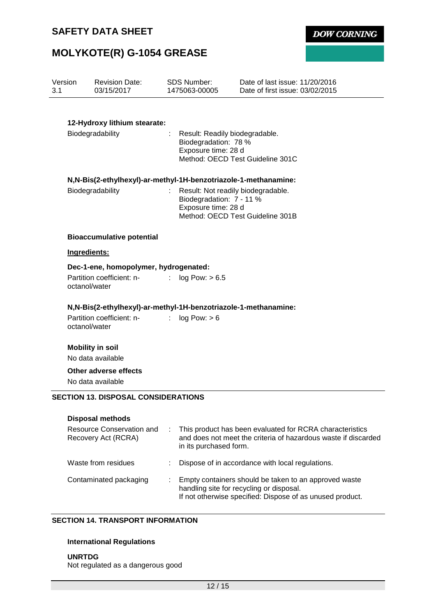**DOW CORNING** 

# **MOLYKOTE(R) G-1054 GREASE**

| Version<br>3.1   | <b>Revision Date:</b><br>03/15/2017                              | <b>SDS Number:</b><br>1475063-00005                                                                               | Date of last issue: 11/20/2016<br>Date of first issue: 03/02/2015                                                          |  |
|------------------|------------------------------------------------------------------|-------------------------------------------------------------------------------------------------------------------|----------------------------------------------------------------------------------------------------------------------------|--|
|                  |                                                                  |                                                                                                                   |                                                                                                                            |  |
|                  | 12-Hydroxy lithium stearate:                                     |                                                                                                                   |                                                                                                                            |  |
| Biodegradability |                                                                  | Result: Readily biodegradable.<br>Biodegradation: 78 %<br>Exposure time: 28 d<br>Method: OECD Test Guideline 301C |                                                                                                                            |  |
|                  | N, N-Bis(2-ethylhexyl)-ar-methyl-1H-benzotriazole-1-methanamine: |                                                                                                                   |                                                                                                                            |  |
|                  | Biodegradability                                                 | Result: Not readily biodegradable.<br>Biodegradation: 7 - 11 %<br>Exposure time: 28 d                             | Method: OECD Test Guideline 301B                                                                                           |  |
|                  | <b>Bioaccumulative potential</b>                                 |                                                                                                                   |                                                                                                                            |  |
|                  | Ingredients:                                                     |                                                                                                                   |                                                                                                                            |  |
|                  | Dec-1-ene, homopolymer, hydrogenated:                            |                                                                                                                   |                                                                                                                            |  |
|                  | Partition coefficient: n-<br>octanol/water                       | log Pow: > 6.5                                                                                                    |                                                                                                                            |  |
|                  | N,N-Bis(2-ethylhexyl)-ar-methyl-1H-benzotriazole-1-methanamine:  |                                                                                                                   |                                                                                                                            |  |
|                  | Partition coefficient: n-<br>octanol/water                       | log Pow: > 6                                                                                                      |                                                                                                                            |  |
|                  | <b>Mobility in soil</b><br>No data available                     |                                                                                                                   |                                                                                                                            |  |
|                  | Other adverse effects<br>No data available                       |                                                                                                                   |                                                                                                                            |  |
|                  | <b>SECTION 13. DISPOSAL CONSIDERATIONS</b>                       |                                                                                                                   |                                                                                                                            |  |
|                  | <b>Disposal methods</b>                                          |                                                                                                                   |                                                                                                                            |  |
|                  | Resource Conservation and<br>Recovery Act (RCRA)                 | in its purchased form.                                                                                            | This product has been evaluated for RCRA characteristics<br>and does not meet the criteria of hazardous waste if discarded |  |
|                  | Waste from residues                                              |                                                                                                                   | Dispose of in accordance with local regulations.                                                                           |  |
|                  | Contaminated packaging                                           |                                                                                                                   | Empty containers should be taken to an approved waste<br>handling site for recycling or disposal.                          |  |

### **SECTION 14. TRANSPORT INFORMATION**

### **International Regulations**

**UNRTDG** Not regulated as a dangerous good

If not otherwise specified: Dispose of as unused product.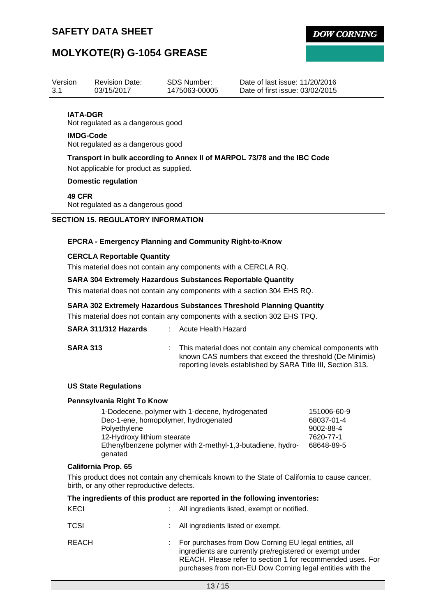**DOW CORNING** 

# **MOLYKOTE(R) G-1054 GREASE**

| Version         | <b>Revision Date:</b>             | <b>SDS Number:</b> | Date of last issue: 11/20/2016  |
|-----------------|-----------------------------------|--------------------|---------------------------------|
| -3.1            | 03/15/2017                        | 1475063-00005      | Date of first issue: 03/02/2015 |
| <b>IATA-DGR</b> | Not regulated as a dangerous good |                    |                                 |

### **IMDG-Code**

Not regulated as a dangerous good

# **Transport in bulk according to Annex II of MARPOL 73/78 and the IBC Code**

Not applicable for product as supplied.

## **Domestic regulation**

### **49 CFR**

Not regulated as a dangerous good

## **SECTION 15. REGULATORY INFORMATION**

### **EPCRA - Emergency Planning and Community Right-to-Know**

### **CERCLA Reportable Quantity**

This material does not contain any components with a CERCLA RQ.

### **SARA 304 Extremely Hazardous Substances Reportable Quantity**

This material does not contain any components with a section 304 EHS RQ.

### **SARA 302 Extremely Hazardous Substances Threshold Planning Quantity**

This material does not contain any components with a section 302 EHS TPQ.

| SARA 311/312 Hazards | Acute Health Hazard |
|----------------------|---------------------|
|----------------------|---------------------|

**SARA 313** : This material does not contain any chemical components with known CAS numbers that exceed the threshold (De Minimis) reporting levels established by SARA Title III, Section 313.

#### **US State Regulations**

#### **Pennsylvania Right To Know**

| 1-Dodecene, polymer with 1-decene, hydrogenated            | 151006-60-9 |
|------------------------------------------------------------|-------------|
| Dec-1-ene, homopolymer, hydrogenated                       | 68037-01-4  |
| Polyethylene                                               | 9002-88-4   |
| 12-Hydroxy lithium stearate                                | 7620-77-1   |
| Ethenylbenzene polymer with 2-methyl-1,3-butadiene, hydro- | 68648-89-5  |
| genated                                                    |             |

#### **California Prop. 65**

This product does not contain any chemicals known to the State of California to cause cancer, birth, or any other reproductive defects.

|             |    | The ingredients of this product are reported in the following inventories:                                                                                                                                                                   |
|-------------|----|----------------------------------------------------------------------------------------------------------------------------------------------------------------------------------------------------------------------------------------------|
| KECI        | ÷  | All ingredients listed, exempt or notified.                                                                                                                                                                                                  |
| <b>TCSI</b> | t. | All ingredients listed or exempt.                                                                                                                                                                                                            |
| REACH       |    | For purchases from Dow Corning EU legal entities, all<br>ingredients are currently pre/registered or exempt under<br>REACH. Please refer to section 1 for recommended uses. For<br>purchases from non-EU Dow Corning legal entities with the |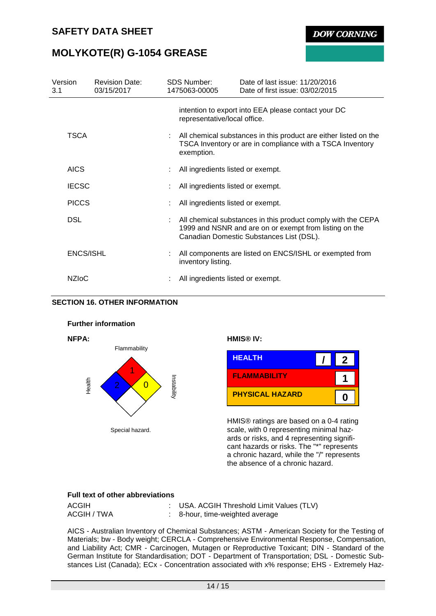**DOW CORNING** 

# **MOLYKOTE(R) G-1054 GREASE**

| Version<br>3.1 | <b>Revision Date:</b><br>03/15/2017 | <b>SDS Number:</b><br>1475063-00005                                                                                                         | Date of last issue: 11/20/2016<br>Date of first issue: 03/02/2015                                                                                                  |  |  |
|----------------|-------------------------------------|---------------------------------------------------------------------------------------------------------------------------------------------|--------------------------------------------------------------------------------------------------------------------------------------------------------------------|--|--|
|                |                                     | representative/local office.                                                                                                                | intention to export into EEA please contact your DC                                                                                                                |  |  |
| <b>TSCA</b>    |                                     | All chemical substances in this product are either listed on the<br>TSCA Inventory or are in compliance with a TSCA Inventory<br>exemption. |                                                                                                                                                                    |  |  |
| <b>AICS</b>    |                                     | All ingredients listed or exempt.                                                                                                           |                                                                                                                                                                    |  |  |
| <b>IECSC</b>   |                                     | All ingredients listed or exempt.                                                                                                           |                                                                                                                                                                    |  |  |
| <b>PICCS</b>   |                                     | All ingredients listed or exempt.                                                                                                           |                                                                                                                                                                    |  |  |
| <b>DSL</b>     |                                     |                                                                                                                                             | All chemical substances in this product comply with the CEPA<br>1999 and NSNR and are on or exempt from listing on the<br>Canadian Domestic Substances List (DSL). |  |  |
| ENCS/ISHL      |                                     | inventory listing.                                                                                                                          | All components are listed on ENCS/ISHL or exempted from                                                                                                            |  |  |
| <b>NZIOC</b>   |                                     | All ingredients listed or exempt.                                                                                                           |                                                                                                                                                                    |  |  |

### **SECTION 16. OTHER INFORMATION**





HMIS® ratings are based on a 0-4 rating scale, with 0 representing minimal hazards or risks, and 4 representing significant hazards or risks. The "\*" represents a chronic hazard, while the "/" represents the absence of a chronic hazard.

#### **Full text of other abbreviations**

| ACGIH       | : USA. ACGIH Threshold Limit Values (TLV) |
|-------------|-------------------------------------------|
| ACGIH / TWA | 8-hour, time-weighted average             |

AICS - Australian Inventory of Chemical Substances; ASTM - American Society for the Testing of Materials; bw - Body weight; CERCLA - Comprehensive Environmental Response, Compensation, and Liability Act; CMR - Carcinogen, Mutagen or Reproductive Toxicant; DIN - Standard of the German Institute for Standardisation; DOT - Department of Transportation; DSL - Domestic Substances List (Canada); ECx - Concentration associated with x% response; EHS - Extremely Haz-